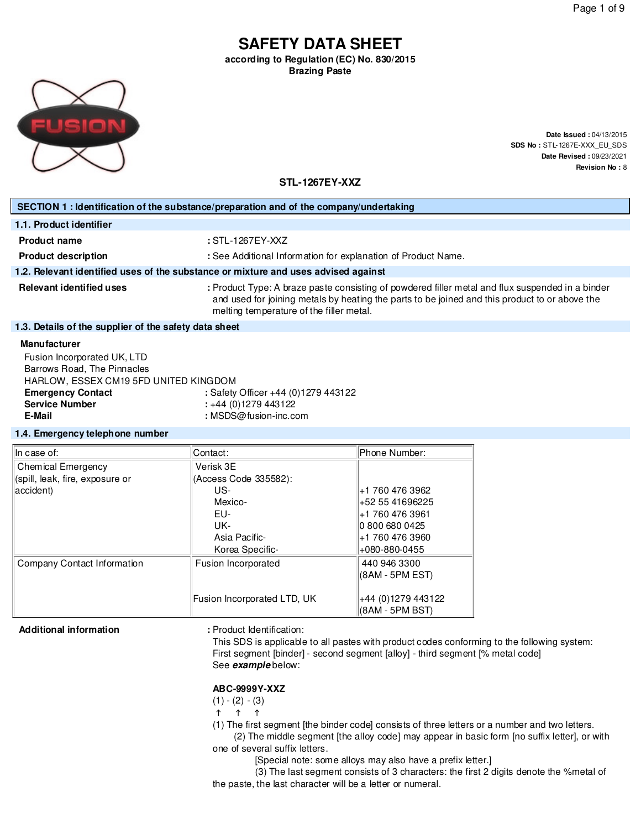# **SAFETY DATA SHEET according to Regulation (EC) No. 830/2015**

**Brazing Paste**



**Date Issued :** 04/13/2015 **SDS No :** STL-1267E-XXX\_EU\_SDS **Date Revised :** 09/23/2021 **Revision No :** 8

**STL-1267EY-XXZ**

| SECTION 1 : Identification of the substance/preparation and of the company/undertaking               |                                                                                                                                                                                                                                                |  |  |
|------------------------------------------------------------------------------------------------------|------------------------------------------------------------------------------------------------------------------------------------------------------------------------------------------------------------------------------------------------|--|--|
| 1.1. Product identifier                                                                              |                                                                                                                                                                                                                                                |  |  |
| <b>Product name</b>                                                                                  | $:STL-1267EY-XXZ$                                                                                                                                                                                                                              |  |  |
| <b>Product description</b>                                                                           | : See Additional Information for explanation of Product Name.                                                                                                                                                                                  |  |  |
| 1.2. Relevant identified uses of the substance or mixture and uses advised against                   |                                                                                                                                                                                                                                                |  |  |
| <b>Relevant identified uses</b>                                                                      | : Product Type: A braze paste consisting of powdered filler metal and flux suspended in a binder<br>and used for joining metals by heating the parts to be joined and this product to or above the<br>melting temperature of the filler metal. |  |  |
| 1.3. Details of the supplier of the safety data sheet                                                |                                                                                                                                                                                                                                                |  |  |
| <b>Manufacturer</b>                                                                                  |                                                                                                                                                                                                                                                |  |  |
| Fusion Incorporated UK, LTD<br>Barrows Road, The Pinnacles<br>HADI OMLESSEY CM10 EED UNITED KING DOM |                                                                                                                                                                                                                                                |  |  |

| Barrows Road, The Pinnacles           |                                     |
|---------------------------------------|-------------------------------------|
| HARLOW, ESSEX CM19 5FD UNITED KINGDOM |                                     |
| <b>Emergency Contact</b>              | : Safety Officer +44 (0)1279 443122 |
| <b>Service Number</b>                 | +44 (0)1279 443122                  |
| E-Mail                                | : $MSDS@fusion-inc.com$             |
|                                       |                                     |

#### **1.4. Emergency telephone number**

| In case of:                     | Contact:                    | Phone Number:      |  |
|---------------------------------|-----------------------------|--------------------|--|
| Chemical Emergency              | Verisk 3E                   |                    |  |
| (spill, leak, fire, exposure or | (Access Code 335582):       |                    |  |
| accident)                       | US-                         | +1 760 476 3962    |  |
|                                 | Mexico-                     | +52 55 41696225    |  |
|                                 | EU-                         | +1 760 476 3961    |  |
|                                 | UK-                         | 0 800 680 0425     |  |
|                                 | Asia Pacific-               | +1 760 476 3960    |  |
|                                 | Korea Specific-             | +080-880-0455      |  |
| Company Contact Information     | Fusion Incorporated         | 440 946 3300       |  |
|                                 |                             | (8AM - 5PM EST)    |  |
|                                 | Fusion Incorporated LTD, UK | +44 (0)1279 443122 |  |
|                                 |                             | (8AM - 5PM BST)    |  |

Additional information **and information** : Product Identification:

This SDS is applicable to all pastes with product codes conforming to the following system: First segment [binder] - second segment [alloy] - third segment [% metal code] See **example** below:

#### **ABC-9999Y-XXZ**

 $(1) - (2) - (3)$ 

 $\uparrow$   $\uparrow$   $\uparrow$ 

(1) The first segment [the binder code] consists of three letters or a number and two letters.

(2) The middle segment [the alloy code] may appear in basic form [no suffix letter], or with one of several suffix letters.

[Special note: some alloys may also have a prefix letter.]

(3) The last segment consists of 3 characters: the first 2 digits denote the %metal of the paste, the last character will be a letter or numeral.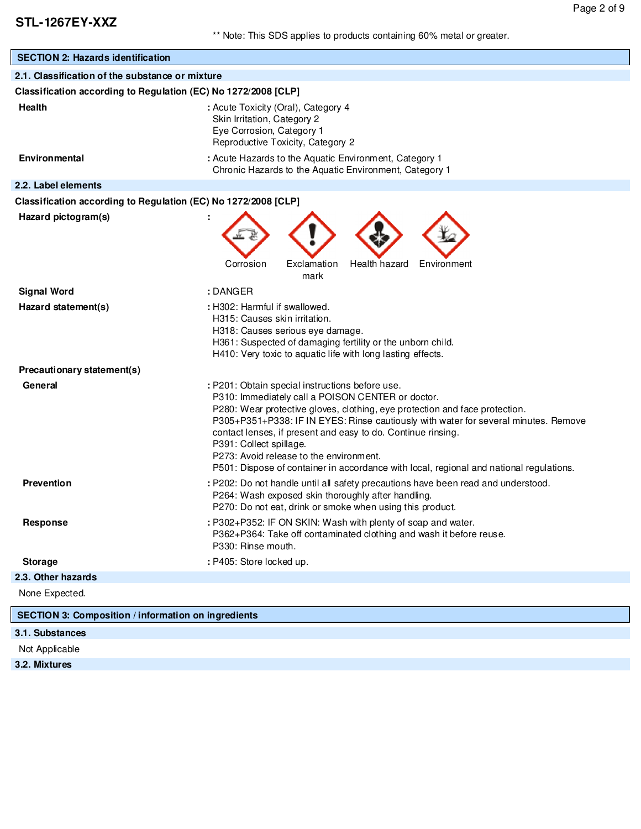| <b>SECTION 2: Hazards identification</b>                       |                                                                                                                                                                                                                                                                                                                                                                                                                                                                                                             |  |  |  |
|----------------------------------------------------------------|-------------------------------------------------------------------------------------------------------------------------------------------------------------------------------------------------------------------------------------------------------------------------------------------------------------------------------------------------------------------------------------------------------------------------------------------------------------------------------------------------------------|--|--|--|
| 2.1. Classification of the substance or mixture                |                                                                                                                                                                                                                                                                                                                                                                                                                                                                                                             |  |  |  |
| Classification according to Regulation (EC) No 1272/2008 [CLP] |                                                                                                                                                                                                                                                                                                                                                                                                                                                                                                             |  |  |  |
| <b>Health</b>                                                  | : Acute Toxicity (Oral), Category 4<br>Skin Irritation, Category 2<br>Eye Corrosion, Category 1<br>Reproductive Toxicity, Category 2                                                                                                                                                                                                                                                                                                                                                                        |  |  |  |
| <b>Environmental</b>                                           | : Acute Hazards to the Aquatic Environment, Category 1<br>Chronic Hazards to the Aquatic Environment, Category 1                                                                                                                                                                                                                                                                                                                                                                                            |  |  |  |
| 2.2. Label elements                                            |                                                                                                                                                                                                                                                                                                                                                                                                                                                                                                             |  |  |  |
| Classification according to Regulation (EC) No 1272/2008 [CLP] |                                                                                                                                                                                                                                                                                                                                                                                                                                                                                                             |  |  |  |
| Hazard pictogram(s)                                            | Exclamation<br>Health hazard<br>Corrosion<br>Environment<br>mark                                                                                                                                                                                                                                                                                                                                                                                                                                            |  |  |  |
| <b>Signal Word</b>                                             | : DANGER                                                                                                                                                                                                                                                                                                                                                                                                                                                                                                    |  |  |  |
| Hazard statement(s)                                            | : H302: Harmful if swallowed.<br>H315: Causes skin irritation.<br>H318: Causes serious eye damage.<br>H361: Suspected of damaging fertility or the unborn child.<br>H410: Very toxic to aquatic life with long lasting effects.                                                                                                                                                                                                                                                                             |  |  |  |
| Precautionary statement(s)                                     |                                                                                                                                                                                                                                                                                                                                                                                                                                                                                                             |  |  |  |
| General                                                        | : P201: Obtain special instructions before use.<br>P310: Immediately call a POISON CENTER or doctor.<br>P280: Wear protective gloves, clothing, eye protection and face protection.<br>P305+P351+P338: IF IN EYES: Rinse cautiously with water for several minutes. Remove<br>contact lenses, if present and easy to do. Continue rinsing.<br>P391: Collect spillage.<br>P273: Avoid release to the environment.<br>P501: Dispose of container in accordance with local, regional and national regulations. |  |  |  |
| <b>Prevention</b>                                              | : P202: Do not handle until all safety precautions have been read and understood.<br>P264: Wash exposed skin thoroughly after handling.<br>P270: Do not eat, drink or smoke when using this product.                                                                                                                                                                                                                                                                                                        |  |  |  |
| Response                                                       | : P302+P352: IF ON SKIN: Wash with plenty of soap and water.<br>P362+P364: Take off contaminated clothing and wash it before reuse.<br>P330: Rinse mouth.                                                                                                                                                                                                                                                                                                                                                   |  |  |  |
| <b>Storage</b>                                                 | : P405: Store locked up.                                                                                                                                                                                                                                                                                                                                                                                                                                                                                    |  |  |  |
| 2.3. Other hazards                                             |                                                                                                                                                                                                                                                                                                                                                                                                                                                                                                             |  |  |  |
| None Expected.                                                 |                                                                                                                                                                                                                                                                                                                                                                                                                                                                                                             |  |  |  |
| <b>SECTION 3: Composition / information on ingredients</b>     |                                                                                                                                                                                                                                                                                                                                                                                                                                                                                                             |  |  |  |

### **3.1. Substances**

Not Applicable

**3.2. Mixtures**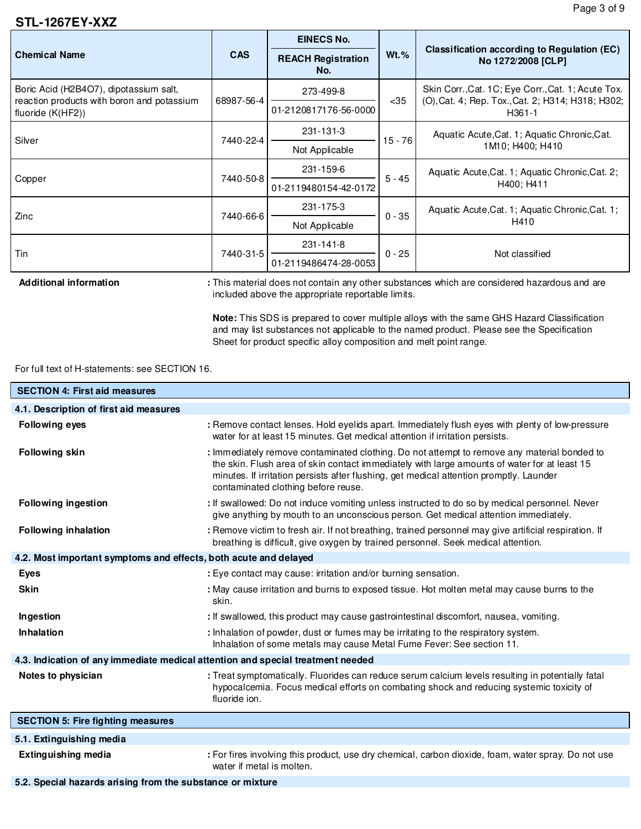### **STL-1267EY-XXZ**

|                                                                 |            | <b>EINECS No.</b>                | $Wt.$ %  | Classification according to Regulation (EC)<br>No 1272/2008 [CLP]                                                   |  |
|-----------------------------------------------------------------|------------|----------------------------------|----------|---------------------------------------------------------------------------------------------------------------------|--|
| <b>Chemical Name</b>                                            | <b>CAS</b> | <b>REACH Registration</b><br>No. |          |                                                                                                                     |  |
| Boric Acid (H2B4O7), dipotassium salt,                          | 68987-56-4 | 273-499-8                        | $35$     | Skin Corr., Cat. 1C; Eye Corr., Cat. 1; Acute Tox.<br>(O), Cat. 4; Rep. Tox., Cat. 2; H314; H318; H302;<br>$H361-1$ |  |
| reaction products with boron and potassium<br>fluoride (K(HF2)) |            | 01-2120817176-56-0000            |          |                                                                                                                     |  |
| Silver                                                          | 7440-22-4  | 231-131-3                        | 15 - 76  | Aquatic Acute, Cat. 1; Aquatic Chronic, Cat.                                                                        |  |
|                                                                 |            | Not Applicable                   |          | 1M10; H400; H410                                                                                                    |  |
|                                                                 | 7440-50-8  | 231-159-6                        | $5 - 45$ | Aquatic Acute, Cat. 1; Aquatic Chronic, Cat. 2;                                                                     |  |
| Copper                                                          |            | 01-2119480154-42-0172            |          | H400; H411                                                                                                          |  |
| Zinc                                                            | 7440-66-6  | 231-175-3                        | $0 - 35$ | Aquatic Acute, Cat. 1; Aquatic Chronic, Cat. 1;<br>H410                                                             |  |
|                                                                 |            | Not Applicable                   |          |                                                                                                                     |  |
| Tin                                                             | 7440-31-5  | 231-141-8                        | $0 - 25$ | Not classified                                                                                                      |  |
|                                                                 |            | 01-2119486474-28-0053            |          |                                                                                                                     |  |

Additional information : This material does not contain any other substances which are considered hazardous and are included above the appropriate reportable limits.

> **Note:** This SDS is prepared to cover multiple alloys with the same GHS Hazard Classification and may list substances not applicable to the named product. Please see the Specification Sheet for product specific alloy composition and melt point range.

#### For full text of H-statements: see SECTION 16.

| <b>SECTION 4: First aid measures</b>                                            |                                                                                                                                                                                                                                                                                                                               |
|---------------------------------------------------------------------------------|-------------------------------------------------------------------------------------------------------------------------------------------------------------------------------------------------------------------------------------------------------------------------------------------------------------------------------|
| 4.1. Description of first aid measures                                          |                                                                                                                                                                                                                                                                                                                               |
| <b>Following eyes</b>                                                           | : Remove contact lenses. Hold eyelids apart. Immediately flush eyes with plenty of low-pressure<br>water for at least 15 minutes. Get medical attention if irritation persists.                                                                                                                                               |
| <b>Following skin</b>                                                           | : Immediately remove contaminated clothing. Do not attempt to remove any material bonded to<br>the skin. Flush area of skin contact immediately with large amounts of water for at least 15<br>minutes. If irritation persists after flushing, get medical attention promptly. Launder<br>contaminated clothing before reuse. |
| <b>Following ingestion</b>                                                      | : If swallowed: Do not induce vomiting unless instructed to do so by medical personnel. Never<br>give anything by mouth to an unconscious person. Get medical attention immediately.                                                                                                                                          |
| <b>Following inhalation</b>                                                     | : Remove victim to fresh air. If not breathing, trained personnel may give artificial respiration. If<br>breathing is difficult, give oxygen by trained personnel. Seek medical attention.                                                                                                                                    |
| 4.2. Most important symptoms and effects, both acute and delayed                |                                                                                                                                                                                                                                                                                                                               |
| <b>Eyes</b>                                                                     | : Eye contact may cause: irritation and/or burning sensation.                                                                                                                                                                                                                                                                 |
| <b>Skin</b>                                                                     | : May cause irritation and burns to exposed tissue. Hot molten metal may cause burns to the<br>skin.                                                                                                                                                                                                                          |
| Ingestion                                                                       | : If swallowed, this product may cause gastrointestinal discomfort, nausea, vomiting.                                                                                                                                                                                                                                         |
| <b>Inhalation</b>                                                               | : Inhalation of powder, dust or fumes may be irritating to the respiratory system.<br>Inhalation of some metals may cause Metal Fume Fever: See section 11.                                                                                                                                                                   |
| 4.3. Indication of any immediate medical attention and special treatment needed |                                                                                                                                                                                                                                                                                                                               |
| Notes to physician                                                              | : Treat symptomatically. Fluorides can reduce serum calcium levels resulting in potentially fatal<br>hypocalcemia. Focus medical efforts on combating shock and reducing systemic toxicity of<br>fluoride ion.                                                                                                                |
| <b>SECTION 5: Fire fighting measures</b>                                        |                                                                                                                                                                                                                                                                                                                               |
| 5.1. Extinguishing media                                                        |                                                                                                                                                                                                                                                                                                                               |
| <b>Extinguishing media</b>                                                      | : For fires involving this product, use dry chemical, carbon dioxide, foam, water spray. Do not use<br>water if metal is molten.                                                                                                                                                                                              |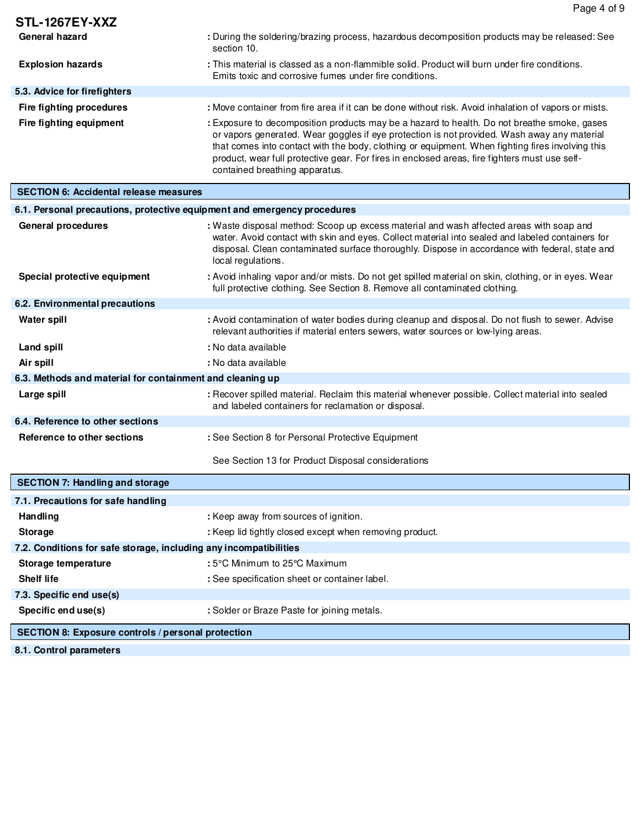|                                                                          | Page 4 of 9                                                                                                                                                                                                                                                                                                                                                                                                                       |
|--------------------------------------------------------------------------|-----------------------------------------------------------------------------------------------------------------------------------------------------------------------------------------------------------------------------------------------------------------------------------------------------------------------------------------------------------------------------------------------------------------------------------|
| <b>STL-1267EY-XXZ</b>                                                    |                                                                                                                                                                                                                                                                                                                                                                                                                                   |
| General hazard                                                           | : During the soldering/brazing process, hazardous decomposition products may be released: See<br>section 10.                                                                                                                                                                                                                                                                                                                      |
| <b>Explosion hazards</b>                                                 | : This material is classed as a non-flammible solid. Product will burn under fire conditions.<br>Emits toxic and corrosive fumes under fire conditions.                                                                                                                                                                                                                                                                           |
| 5.3. Advice for firefighters                                             |                                                                                                                                                                                                                                                                                                                                                                                                                                   |
| Fire fighting procedures                                                 | : Move container from fire area if it can be done without risk. Avoid inhalation of vapors or mists.                                                                                                                                                                                                                                                                                                                              |
| Fire fighting equipment                                                  | : Exposure to decomposition products may be a hazard to health. Do not breathe smoke, gases<br>or vapors generated. Wear goggles if eye protection is not provided. Wash away any material<br>that comes into contact with the body, clothing or equipment. When fighting fires involving this<br>product, wear full protective gear. For fires in enclosed areas, fire fighters must use self-<br>contained breathing apparatus. |
| <b>SECTION 6: Accidental release measures</b>                            |                                                                                                                                                                                                                                                                                                                                                                                                                                   |
| 6.1. Personal precautions, protective equipment and emergency procedures |                                                                                                                                                                                                                                                                                                                                                                                                                                   |
| <b>General procedures</b>                                                | : Waste disposal method: Scoop up excess material and wash affected areas with soap and<br>water. Avoid contact with skin and eyes. Collect material into sealed and labeled containers for<br>disposal. Clean contaminated surface thoroughly. Dispose in accordance with federal, state and<br>local regulations.                                                                                                               |
| Special protective equipment                                             | : Avoid inhaling vapor and/or mists. Do not get spilled material on skin, clothing, or in eyes. Wear<br>full protective clothing. See Section 8. Remove all contaminated clothing.                                                                                                                                                                                                                                                |
| 6.2. Environmental precautions                                           |                                                                                                                                                                                                                                                                                                                                                                                                                                   |
| <b>Water spill</b>                                                       | : Avoid contamination of water bodies during cleanup and disposal. Do not flush to sewer. Advise<br>relevant authorities if material enters sewers, water sources or low-lying areas.                                                                                                                                                                                                                                             |
| Land spill                                                               | : No data available                                                                                                                                                                                                                                                                                                                                                                                                               |
| Air spill                                                                | : No data available                                                                                                                                                                                                                                                                                                                                                                                                               |
| 6.3. Methods and material for containment and cleaning up                |                                                                                                                                                                                                                                                                                                                                                                                                                                   |
| Large spill                                                              | : Recover spilled material. Reclaim this material whenever possible. Collect material into sealed<br>and labeled containers for reclamation or disposal.                                                                                                                                                                                                                                                                          |
| 6.4. Reference to other sections                                         |                                                                                                                                                                                                                                                                                                                                                                                                                                   |
| Reference to other sections                                              | : See Section 8 for Personal Protective Equipment                                                                                                                                                                                                                                                                                                                                                                                 |
|                                                                          | See Section 13 for Product Disposal considerations                                                                                                                                                                                                                                                                                                                                                                                |
| <b>SECTION 7: Handling and storage</b>                                   |                                                                                                                                                                                                                                                                                                                                                                                                                                   |
| 7.1. Precautions for safe handling                                       |                                                                                                                                                                                                                                                                                                                                                                                                                                   |
| Handling                                                                 | : Keep away from sources of ignition.                                                                                                                                                                                                                                                                                                                                                                                             |
| <b>Storage</b>                                                           | : Keep lid tightly closed except when removing product.                                                                                                                                                                                                                                                                                                                                                                           |
| 7.2. Conditions for safe storage, including any incompatibilities        |                                                                                                                                                                                                                                                                                                                                                                                                                                   |
| Storage temperature                                                      | : 5°C Minimum to 25°C Maximum                                                                                                                                                                                                                                                                                                                                                                                                     |
| <b>Shelf life</b>                                                        | : See specification sheet or container label.                                                                                                                                                                                                                                                                                                                                                                                     |
| 7.3. Specific end use(s)                                                 |                                                                                                                                                                                                                                                                                                                                                                                                                                   |
| Specific end use(s)                                                      | : Solder or Braze Paste for joining metals.                                                                                                                                                                                                                                                                                                                                                                                       |
| SECTION 8: Exposure controls / personal protection                       |                                                                                                                                                                                                                                                                                                                                                                                                                                   |

**8.1. Control parameters**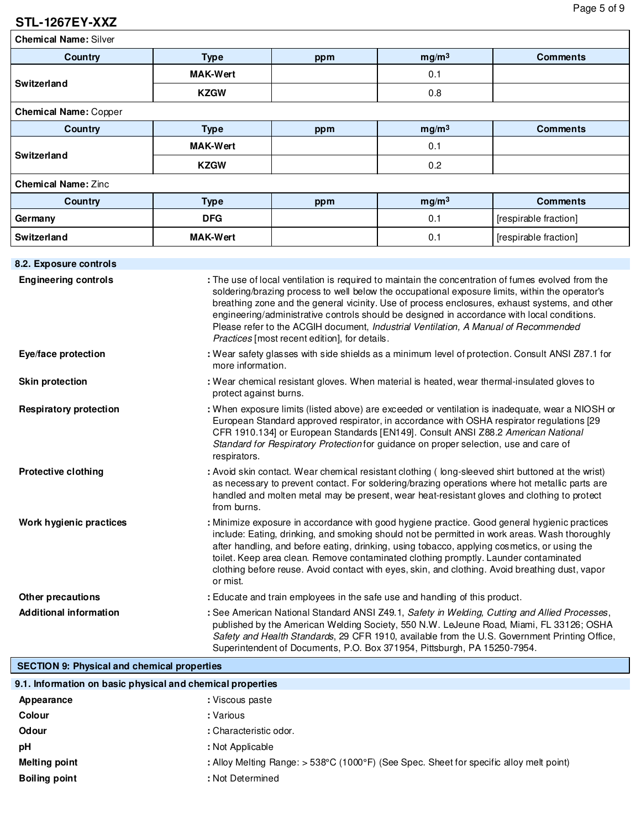# **STL-1267EY-XXZ**

**Chemical Name:** Silver

| Country                      | <b>Type</b>     | ppm | mg/m <sup>3</sup> | <b>Comments</b>       |
|------------------------------|-----------------|-----|-------------------|-----------------------|
| Switzerland                  | <b>MAK-Wert</b> |     | 0.1               |                       |
|                              | <b>KZGW</b>     |     | 0.8               |                       |
| <b>Chemical Name: Copper</b> |                 |     |                   |                       |
| Country                      | <b>Type</b>     | ppm | mg/m <sup>3</sup> | <b>Comments</b>       |
| Switzerland                  | <b>MAK-Wert</b> |     | 0.1               |                       |
|                              | <b>KZGW</b>     |     | 0.2               |                       |
| <b>Chemical Name: Zinc</b>   |                 |     |                   |                       |
| <b>Country</b>               | <b>Type</b>     | ppm | mg/m <sup>3</sup> | <b>Comments</b>       |
| Germany                      | <b>DFG</b>      |     | 0.1               | [respirable fraction] |
| Switzerland                  | <b>MAK-Wert</b> |     | 0.1               | [respirable fraction] |
|                              |                 |     |                   |                       |

| 8.2. Exposure controls        |                                                                                                                                                                                                                                                                                                                                                                                                                                                                                                                                                |
|-------------------------------|------------------------------------------------------------------------------------------------------------------------------------------------------------------------------------------------------------------------------------------------------------------------------------------------------------------------------------------------------------------------------------------------------------------------------------------------------------------------------------------------------------------------------------------------|
| <b>Engineering controls</b>   | : The use of local ventilation is required to maintain the concentration of fumes evolved from the<br>soldering/brazing process to well below the occupational exposure limits, within the operator's<br>breathing zone and the general vicinity. Use of process enclosures, exhaust systems, and other<br>engineering/administrative controls should be designed in accordance with local conditions.<br>Please refer to the ACGIH document, Industrial Ventilation, A Manual of Recommended<br>Practices [most recent edition], for details. |
| Eye/face protection           | : Wear safety glasses with side shields as a minimum level of protection. Consult ANSI Z87.1 for<br>more information.                                                                                                                                                                                                                                                                                                                                                                                                                          |
| <b>Skin protection</b>        | : Wear chemical resistant gloves. When material is heated, wear thermal-insulated gloves to<br>protect against burns.                                                                                                                                                                                                                                                                                                                                                                                                                          |
| <b>Respiratory protection</b> | : When exposure limits (listed above) are exceeded or ventilation is inadequate, wear a NIOSH or<br>European Standard approved respirator, in accordance with OSHA respirator regulations [29<br>CFR 1910.134] or European Standards [EN149]. Consult ANSI Z88.2 American National<br>Standard for Respiratory Protection for guidance on proper selection, use and care of<br>respirators.                                                                                                                                                    |
| <b>Protective clothing</b>    | : Avoid skin contact. Wear chemical resistant clothing (long-sleeved shirt buttoned at the wrist)<br>as necessary to prevent contact. For soldering/brazing operations where hot metallic parts are<br>handled and molten metal may be present, wear heat-resistant gloves and clothing to protect<br>from burns.                                                                                                                                                                                                                              |
| Work hygienic practices       | : Minimize exposure in accordance with good hygiene practice. Good general hygienic practices<br>include: Eating, drinking, and smoking should not be permitted in work areas. Wash thoroughly<br>after handling, and before eating, drinking, using tobacco, applying cosmetics, or using the<br>toilet. Keep area clean. Remove contaminated clothing promptly. Launder contaminated<br>clothing before reuse. Avoid contact with eyes, skin, and clothing. Avoid breathing dust, vapor<br>or mist.                                          |
| Other precautions             | : Educate and train employees in the safe use and handling of this product.                                                                                                                                                                                                                                                                                                                                                                                                                                                                    |
| <b>Additional information</b> | : See American National Standard ANSI Z49.1, Safety in Welding, Cutting and Allied Processes,<br>published by the American Welding Society, 550 N.W. LeJeune Road, Miami, FL 33126; OSHA<br>Safety and Health Standards, 29 CFR 1910, available from the U.S. Government Printing Office,<br>Superintendent of Documents, P.O. Box 371954, Pittsburgh, PA 15250-7954.                                                                                                                                                                          |

### **SECTION 9: Physical and chemical properties**

| 9.1. Information on basic physical and chemical properties |                                                                                           |
|------------------------------------------------------------|-------------------------------------------------------------------------------------------|
| Appearance                                                 | : Viscous paste                                                                           |
| Colour                                                     | : Various                                                                                 |
| Odour                                                      | : Characteristic odor.                                                                    |
| рH                                                         | : Not Applicable                                                                          |
| <b>Melting point</b>                                       | : Alloy Melting Range: $>$ 538°C (1000°F) (See Spec. Sheet for specific alloy melt point) |
| <b>Boiling point</b>                                       | : Not Determined                                                                          |
|                                                            |                                                                                           |

I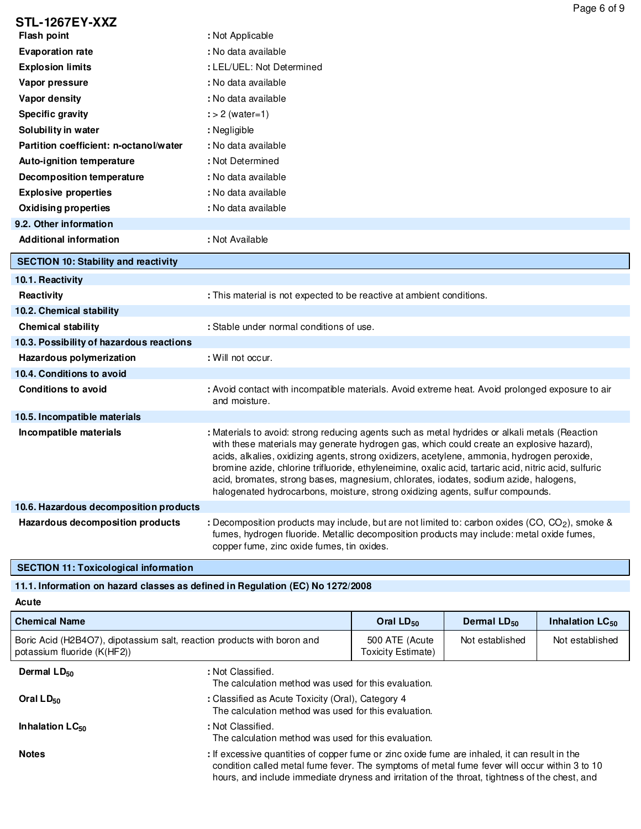|                                             | Page 6 of 9                                                                                                                                                                                                                                                                                                                                                                                                                                                                                                                                                                  |
|---------------------------------------------|------------------------------------------------------------------------------------------------------------------------------------------------------------------------------------------------------------------------------------------------------------------------------------------------------------------------------------------------------------------------------------------------------------------------------------------------------------------------------------------------------------------------------------------------------------------------------|
| <b>STL-1267EY-XXZ</b>                       |                                                                                                                                                                                                                                                                                                                                                                                                                                                                                                                                                                              |
| <b>Flash point</b>                          | : Not Applicable                                                                                                                                                                                                                                                                                                                                                                                                                                                                                                                                                             |
| <b>Evaporation rate</b>                     | : No data available                                                                                                                                                                                                                                                                                                                                                                                                                                                                                                                                                          |
| <b>Explosion limits</b>                     | : LEL/UEL: Not Determined                                                                                                                                                                                                                                                                                                                                                                                                                                                                                                                                                    |
| Vapor pressure                              | : No data available                                                                                                                                                                                                                                                                                                                                                                                                                                                                                                                                                          |
| Vapor density                               | : No data available                                                                                                                                                                                                                                                                                                                                                                                                                                                                                                                                                          |
| <b>Specific gravity</b>                     | $\div$ 2 (water=1)                                                                                                                                                                                                                                                                                                                                                                                                                                                                                                                                                           |
| Solubility in water                         | : Negligible                                                                                                                                                                                                                                                                                                                                                                                                                                                                                                                                                                 |
| Partition coefficient: n-octanol/water      | : No data available                                                                                                                                                                                                                                                                                                                                                                                                                                                                                                                                                          |
| Auto-ignition temperature                   | : Not Determined                                                                                                                                                                                                                                                                                                                                                                                                                                                                                                                                                             |
| Decomposition temperature                   | : No data available                                                                                                                                                                                                                                                                                                                                                                                                                                                                                                                                                          |
| <b>Explosive properties</b>                 | : No data available                                                                                                                                                                                                                                                                                                                                                                                                                                                                                                                                                          |
| <b>Oxidising properties</b>                 | : No data available                                                                                                                                                                                                                                                                                                                                                                                                                                                                                                                                                          |
| 9.2. Other information                      |                                                                                                                                                                                                                                                                                                                                                                                                                                                                                                                                                                              |
| <b>Additional information</b>               | : Not Available                                                                                                                                                                                                                                                                                                                                                                                                                                                                                                                                                              |
| <b>SECTION 10: Stability and reactivity</b> |                                                                                                                                                                                                                                                                                                                                                                                                                                                                                                                                                                              |
| 10.1. Reactivity                            |                                                                                                                                                                                                                                                                                                                                                                                                                                                                                                                                                                              |
| <b>Reactivity</b>                           | : This material is not expected to be reactive at ambient conditions.                                                                                                                                                                                                                                                                                                                                                                                                                                                                                                        |
| 10.2. Chemical stability                    |                                                                                                                                                                                                                                                                                                                                                                                                                                                                                                                                                                              |
| <b>Chemical stability</b>                   | : Stable under normal conditions of use.                                                                                                                                                                                                                                                                                                                                                                                                                                                                                                                                     |
| 10.3. Possibility of hazardous reactions    |                                                                                                                                                                                                                                                                                                                                                                                                                                                                                                                                                                              |
| Hazardous polymerization                    | : Will not occur.                                                                                                                                                                                                                                                                                                                                                                                                                                                                                                                                                            |
| 10.4. Conditions to avoid                   |                                                                                                                                                                                                                                                                                                                                                                                                                                                                                                                                                                              |
| <b>Conditions to avoid</b>                  | : Avoid contact with incompatible materials. Avoid extreme heat. Avoid prolonged exposure to air<br>and moisture.                                                                                                                                                                                                                                                                                                                                                                                                                                                            |
| 10.5. Incompatible materials                |                                                                                                                                                                                                                                                                                                                                                                                                                                                                                                                                                                              |
| Incompatible materials                      | : Materials to avoid: strong reducing agents such as metal hydrides or alkali metals (Reaction<br>with these materials may generate hydrogen gas, which could create an explosive hazard),<br>acids, alkalies, oxidizing agents, strong oxidizers, acetylene, ammonia, hydrogen peroxide,<br>bromine azide, chlorine trifluoride, ethyleneimine, oxalic acid, tartaric acid, nitric acid, sulfuric<br>acid, bromates, strong bases, magnesium, chlorates, iodates, sodium azide, halogens,<br>halogenated hydrocarbons, moisture, strong oxidizing agents, sulfur compounds. |
| 10.6. Hazardous decomposition products      |                                                                                                                                                                                                                                                                                                                                                                                                                                                                                                                                                                              |
| Hazardous decomposition products            | : Decomposition products may include, but are not limited to: carbon oxides (CO, CO <sub>2</sub> ), smoke &<br>fumes, hydrogen fluoride. Metallic decomposition products may include: metal oxide fumes,<br>copper fume, zinc oxide fumes, tin oxides.                                                                                                                                                                                                                                                                                                                       |

**SECTION 11: Toxicological information**

## **11.1. Information on hazard classes as defined in Regulation (EC) No 1272/2008**

**Acute**

| <b>Chemical Name</b>                                                                                   |                                                                                                                                                                                                                                                                                                  | Oral $LD_{50}$                       | Dermal $LD_{50}$ | Inhalation LC <sub>50</sub> |
|--------------------------------------------------------------------------------------------------------|--------------------------------------------------------------------------------------------------------------------------------------------------------------------------------------------------------------------------------------------------------------------------------------------------|--------------------------------------|------------------|-----------------------------|
| Boric Acid (H2B4O7), dipotassium salt, reaction products with boron and<br>potassium fluoride (K(HF2)) |                                                                                                                                                                                                                                                                                                  | 500 ATE (Acute<br>Toxicity Estimate) | Not established  | Not established             |
| Dermal $LD_{50}$                                                                                       | : Not Classified.<br>The calculation method was used for this evaluation.                                                                                                                                                                                                                        |                                      |                  |                             |
| Oral $LD_{50}$                                                                                         | : Classified as Acute Toxicity (Oral), Category 4<br>The calculation method was used for this evaluation.                                                                                                                                                                                        |                                      |                  |                             |
| Inhalation $LC_{50}$                                                                                   | : Not Classified.<br>The calculation method was used for this evaluation.                                                                                                                                                                                                                        |                                      |                  |                             |
| <b>Notes</b>                                                                                           | : If excessive quantities of copper fume or zinc oxide fume are inhaled, it can result in the<br>condition called metal fume fever. The symptoms of metal fume fever will occur within 3 to 10<br>hours, and include immediate dryness and irritation of the throat, tightness of the chest, and |                                      |                  |                             |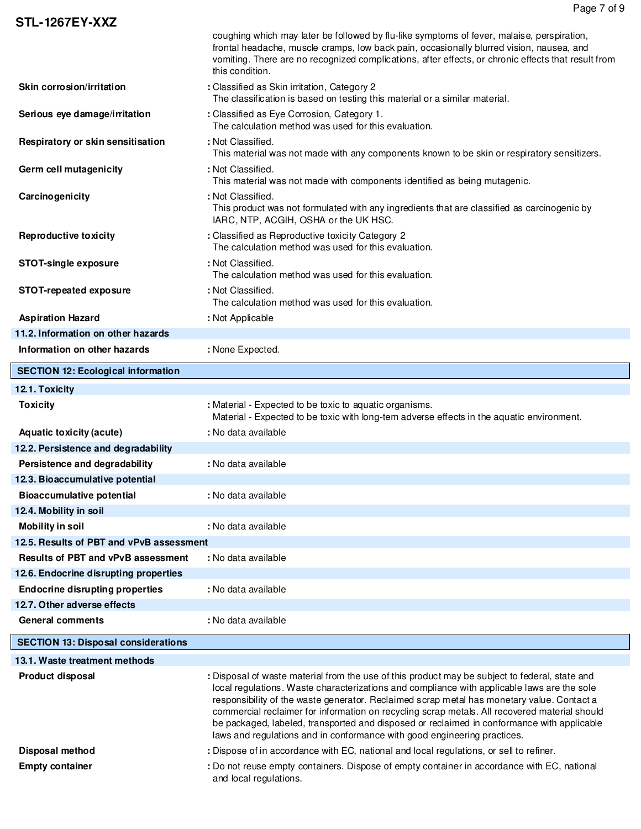| Persistence and degradability<br>12.3. Bioaccumulative potential<br><b>Bioaccumulative potential</b><br>12.4. Mobility in soil | : No data available<br>: No data available                                                                                                                                                                                                                        |
|--------------------------------------------------------------------------------------------------------------------------------|-------------------------------------------------------------------------------------------------------------------------------------------------------------------------------------------------------------------------------------------------------------------|
|                                                                                                                                |                                                                                                                                                                                                                                                                   |
|                                                                                                                                |                                                                                                                                                                                                                                                                   |
|                                                                                                                                |                                                                                                                                                                                                                                                                   |
|                                                                                                                                |                                                                                                                                                                                                                                                                   |
|                                                                                                                                |                                                                                                                                                                                                                                                                   |
| 12.2. Persistence and degradability                                                                                            |                                                                                                                                                                                                                                                                   |
| <b>Aquatic toxicity (acute)</b>                                                                                                | : No data available                                                                                                                                                                                                                                               |
| <b>Toxicity</b>                                                                                                                | : Material - Expected to be toxic to aquatic organisms.<br>Material - Expected to be toxic with long-tem adverse effects in the aquatic environment.                                                                                                              |
| 12.1. Toxicity                                                                                                                 |                                                                                                                                                                                                                                                                   |
| <b>SECTION 12: Ecological information</b>                                                                                      |                                                                                                                                                                                                                                                                   |
| Information on other hazards                                                                                                   | : None Expected.                                                                                                                                                                                                                                                  |
| 11.2. Information on other hazards                                                                                             |                                                                                                                                                                                                                                                                   |
| <b>Aspiration Hazard</b>                                                                                                       | : Not Applicable                                                                                                                                                                                                                                                  |
|                                                                                                                                | The calculation method was used for this evaluation.                                                                                                                                                                                                              |
| STOT-repeated exposure                                                                                                         | The calculation method was used for this evaluation.<br>: Not Classified.                                                                                                                                                                                         |
| <b>STOT-single exposure</b>                                                                                                    | The calculation method was used for this evaluation.<br>: Not Classified.                                                                                                                                                                                         |
| <b>Reproductive toxicity</b>                                                                                                   | IARC, NTP, ACGIH, OSHA or the UK HSC.<br>: Classified as Reproductive toxicity Category 2                                                                                                                                                                         |
| Carcinogenicity                                                                                                                | This material was not made with components identified as being mutagenic.<br>: Not Classified.<br>This product was not formulated with any ingredients that are classified as carcinogenic by                                                                     |
| Germ cell mutagenicity                                                                                                         | This material was not made with any components known to be skin or respiratory sensitizers.<br>: Not Classified.                                                                                                                                                  |
| Serious eye damage/irritation<br>Respiratory or skin sensitisation                                                             | : Classified as Eye Corrosion, Category 1.<br>The calculation method was used for this evaluation.<br>: Not Classified.                                                                                                                                           |
|                                                                                                                                | The classification is based on testing this material or a similar material.                                                                                                                                                                                       |
| Skin corrosion/irritation                                                                                                      | frontal headache, muscle cramps, low back pain, occasionally blurred vision, nausea, and<br>vomiting. There are no recognized complications, after effects, or chronic effects that result from<br>this condition.<br>: Classified as Skin irritation, Category 2 |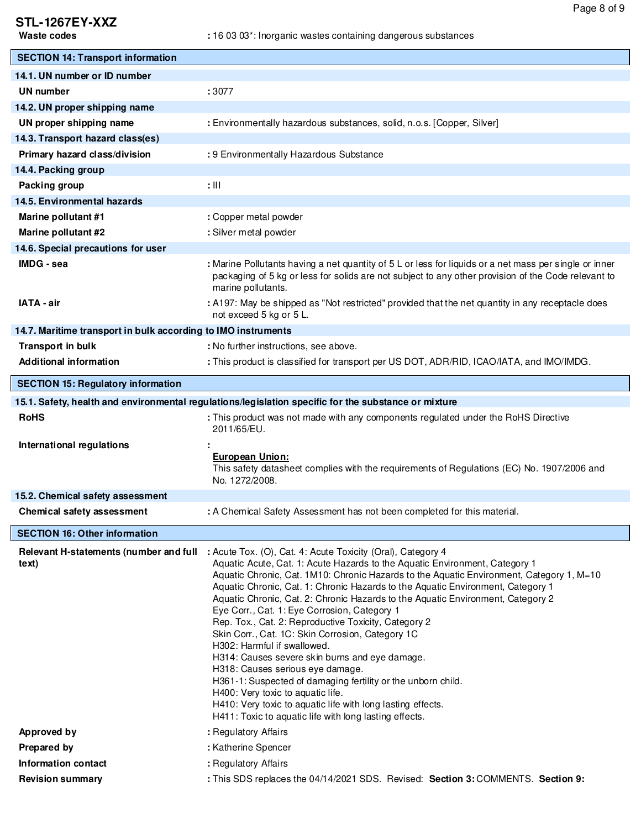# **STL-1267EY-XXZ**

| <b>SECTION 14: Transport information</b>                                                             |                                                                                                                                                                                                                                                                                                                                                                                                                                                                                                                                                                                                                                                                                                                                                                                                                                                                                                                             |  |
|------------------------------------------------------------------------------------------------------|-----------------------------------------------------------------------------------------------------------------------------------------------------------------------------------------------------------------------------------------------------------------------------------------------------------------------------------------------------------------------------------------------------------------------------------------------------------------------------------------------------------------------------------------------------------------------------------------------------------------------------------------------------------------------------------------------------------------------------------------------------------------------------------------------------------------------------------------------------------------------------------------------------------------------------|--|
| 14.1. UN number or ID number                                                                         |                                                                                                                                                                                                                                                                                                                                                                                                                                                                                                                                                                                                                                                                                                                                                                                                                                                                                                                             |  |
| <b>UN number</b>                                                                                     | :3077                                                                                                                                                                                                                                                                                                                                                                                                                                                                                                                                                                                                                                                                                                                                                                                                                                                                                                                       |  |
| 14.2. UN proper shipping name                                                                        |                                                                                                                                                                                                                                                                                                                                                                                                                                                                                                                                                                                                                                                                                                                                                                                                                                                                                                                             |  |
| UN proper shipping name                                                                              | : Environmentally hazardous substances, solid, n.o.s. [Copper, Silver]                                                                                                                                                                                                                                                                                                                                                                                                                                                                                                                                                                                                                                                                                                                                                                                                                                                      |  |
| 14.3. Transport hazard class(es)                                                                     |                                                                                                                                                                                                                                                                                                                                                                                                                                                                                                                                                                                                                                                                                                                                                                                                                                                                                                                             |  |
| Primary hazard class/division                                                                        | : 9 Environmentally Hazardous Substance                                                                                                                                                                                                                                                                                                                                                                                                                                                                                                                                                                                                                                                                                                                                                                                                                                                                                     |  |
| 14.4. Packing group                                                                                  |                                                                                                                                                                                                                                                                                                                                                                                                                                                                                                                                                                                                                                                                                                                                                                                                                                                                                                                             |  |
| Packing group                                                                                        | $: \mathbb{H}$                                                                                                                                                                                                                                                                                                                                                                                                                                                                                                                                                                                                                                                                                                                                                                                                                                                                                                              |  |
| 14.5. Environmental hazards                                                                          |                                                                                                                                                                                                                                                                                                                                                                                                                                                                                                                                                                                                                                                                                                                                                                                                                                                                                                                             |  |
| Marine pollutant #1                                                                                  | : Copper metal powder                                                                                                                                                                                                                                                                                                                                                                                                                                                                                                                                                                                                                                                                                                                                                                                                                                                                                                       |  |
| Marine pollutant #2                                                                                  | : Silver metal powder                                                                                                                                                                                                                                                                                                                                                                                                                                                                                                                                                                                                                                                                                                                                                                                                                                                                                                       |  |
| 14.6. Special precautions for user                                                                   |                                                                                                                                                                                                                                                                                                                                                                                                                                                                                                                                                                                                                                                                                                                                                                                                                                                                                                                             |  |
| <b>IMDG</b> - sea                                                                                    | : Marine Pollutants having a net quantity of 5 L or less for liquids or a net mass per single or inner<br>packaging of 5 kg or less for solids are not subject to any other provision of the Code relevant to<br>marine pollutants.                                                                                                                                                                                                                                                                                                                                                                                                                                                                                                                                                                                                                                                                                         |  |
| IATA - air                                                                                           | : A197: May be shipped as "Not restricted" provided that the net quantity in any receptacle does<br>not exceed 5 kg or 5 L.                                                                                                                                                                                                                                                                                                                                                                                                                                                                                                                                                                                                                                                                                                                                                                                                 |  |
| 14.7. Maritime transport in bulk according to IMO instruments                                        |                                                                                                                                                                                                                                                                                                                                                                                                                                                                                                                                                                                                                                                                                                                                                                                                                                                                                                                             |  |
| Transport in bulk                                                                                    | : No further instructions, see above.                                                                                                                                                                                                                                                                                                                                                                                                                                                                                                                                                                                                                                                                                                                                                                                                                                                                                       |  |
| <b>Additional information</b>                                                                        | : This product is classified for transport per US DOT, ADR/RID, ICAO/IATA, and IMO/IMDG.                                                                                                                                                                                                                                                                                                                                                                                                                                                                                                                                                                                                                                                                                                                                                                                                                                    |  |
| <b>SECTION 15: Regulatory information</b>                                                            |                                                                                                                                                                                                                                                                                                                                                                                                                                                                                                                                                                                                                                                                                                                                                                                                                                                                                                                             |  |
| 15.1. Safety, health and environmental regulations/legislation specific for the substance or mixture |                                                                                                                                                                                                                                                                                                                                                                                                                                                                                                                                                                                                                                                                                                                                                                                                                                                                                                                             |  |
| <b>RoHS</b>                                                                                          | : This product was not made with any components regulated under the RoHS Directive<br>2011/65/EU.                                                                                                                                                                                                                                                                                                                                                                                                                                                                                                                                                                                                                                                                                                                                                                                                                           |  |
| International regulations                                                                            | <b>European Union:</b><br>This safety datasheet complies with the requirements of Regulations (EC) No. 1907/2006 and<br>No. 1272/2008.                                                                                                                                                                                                                                                                                                                                                                                                                                                                                                                                                                                                                                                                                                                                                                                      |  |
| 15.2. Chemical safety assessment                                                                     |                                                                                                                                                                                                                                                                                                                                                                                                                                                                                                                                                                                                                                                                                                                                                                                                                                                                                                                             |  |
| Chemical safety assessment                                                                           | : A Chemical Safety Assessment has not been completed for this material.                                                                                                                                                                                                                                                                                                                                                                                                                                                                                                                                                                                                                                                                                                                                                                                                                                                    |  |
| <b>SECTION 16: Other information</b>                                                                 |                                                                                                                                                                                                                                                                                                                                                                                                                                                                                                                                                                                                                                                                                                                                                                                                                                                                                                                             |  |
| Relevant H-statements (number and full<br>text)                                                      | : Acute Tox. (O), Cat. 4: Acute Toxicity (Oral), Category 4<br>Aquatic Acute, Cat. 1: Acute Hazards to the Aquatic Environment, Category 1<br>Aquatic Chronic, Cat. 1M10: Chronic Hazards to the Aquatic Environment, Category 1, M=10<br>Aquatic Chronic, Cat. 1: Chronic Hazards to the Aquatic Environment, Category 1<br>Aquatic Chronic, Cat. 2: Chronic Hazards to the Aquatic Environment, Category 2<br>Eye Corr., Cat. 1: Eye Corrosion, Category 1<br>Rep. Tox., Cat. 2: Reproductive Toxicity, Category 2<br>Skin Corr., Cat. 1C: Skin Corrosion, Category 1C<br>H302: Harmful if swallowed.<br>H314: Causes severe skin burns and eye damage.<br>H318: Causes serious eye damage.<br>H361-1: Suspected of damaging fertility or the unborn child.<br>H400: Very toxic to aquatic life.<br>H410: Very toxic to aquatic life with long lasting effects.<br>H411: Toxic to aquatic life with long lasting effects. |  |
| <b>Approved by</b>                                                                                   | : Regulatory Affairs                                                                                                                                                                                                                                                                                                                                                                                                                                                                                                                                                                                                                                                                                                                                                                                                                                                                                                        |  |
| <b>Prepared by</b>                                                                                   | : Katherine Spencer                                                                                                                                                                                                                                                                                                                                                                                                                                                                                                                                                                                                                                                                                                                                                                                                                                                                                                         |  |
| Information contact                                                                                  | : Regulatory Affairs                                                                                                                                                                                                                                                                                                                                                                                                                                                                                                                                                                                                                                                                                                                                                                                                                                                                                                        |  |
| <b>Revision summary</b>                                                                              | : This SDS replaces the 04/14/2021 SDS. Revised: Section 3: COMMENTS. Section 9:                                                                                                                                                                                                                                                                                                                                                                                                                                                                                                                                                                                                                                                                                                                                                                                                                                            |  |